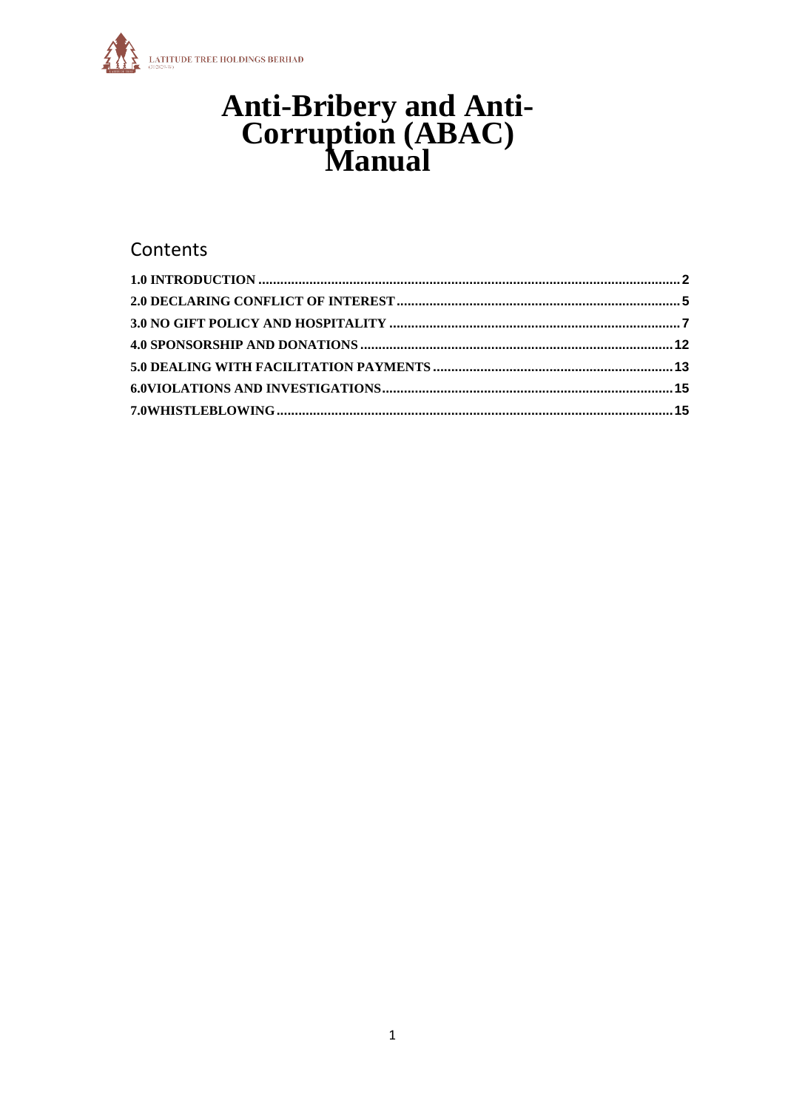

# **Anti-Bribery and Anti-<br>Corruption (ABAC)**<br>Manual

# Contents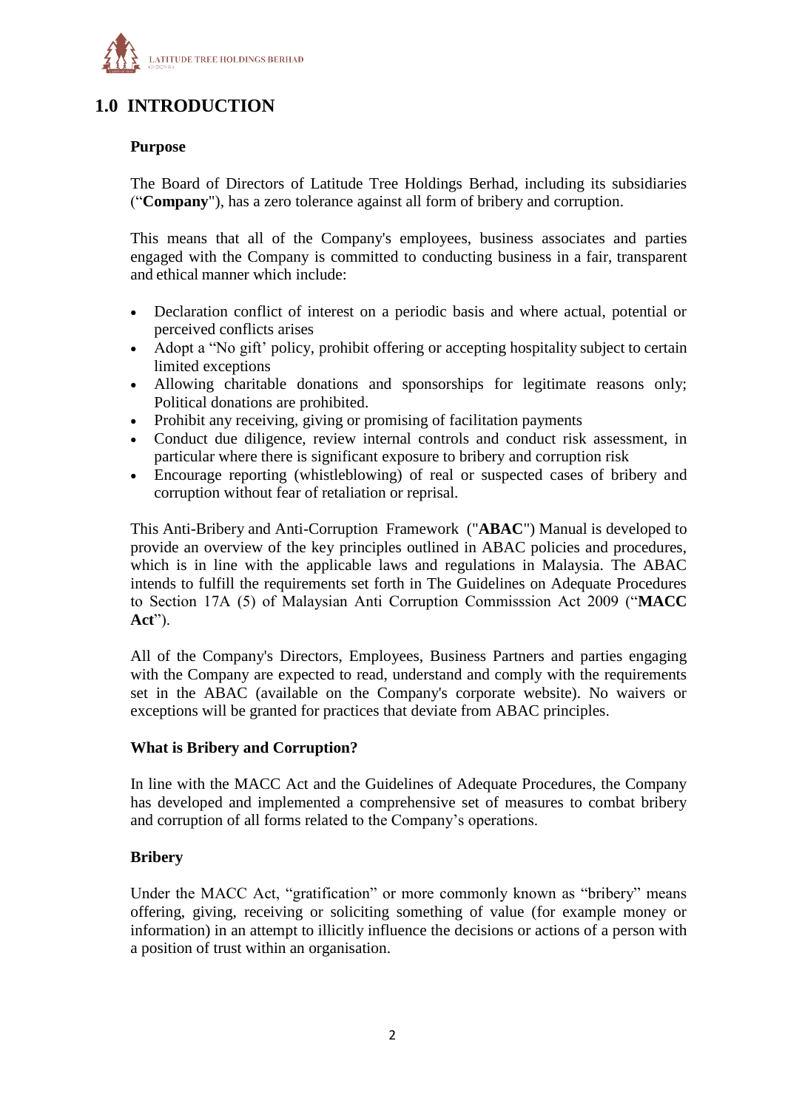

# <span id="page-1-0"></span>**1.0 INTRODUCTION**

#### **Purpose**

The Board of Directors of Latitude Tree Holdings Berhad, including its subsidiaries ("**Company**"), has a zero tolerance against all form of bribery and corruption.

This means that all of the Company's employees, business associates and parties engaged with the Company is committed to conducting business in a fair, transparent and ethical manner which include:

- Declaration conflict of interest on a periodic basis and where actual, potential or perceived conflicts arises
- Adopt a "No gift' policy, prohibit offering or accepting hospitality subject to certain limited exceptions
- Allowing charitable donations and sponsorships for legitimate reasons only; Political donations are prohibited.
- Prohibit any receiving, giving or promising of facilitation payments
- Conduct due diligence, review internal controls and conduct risk assessment, in particular where there is significant exposure to bribery and corruption risk
- Encourage reporting (whistleblowing) of real or suspected cases of bribery and corruption without fear of retaliation or reprisal.

This Anti-Bribery and Anti-Corruption Framework ("**ABAC**") Manual is developed to provide an overview of the key principles outlined in ABAC policies and procedures, which is in line with the applicable laws and regulations in Malaysia. The ABAC intends to fulfill the requirements set forth in The Guidelines on Adequate Procedures to Section 17A (5) of Malaysian Anti Corruption Commisssion Act 2009 ("**MACC Act**").

All of the Company's Directors, Employees, Business Partners and parties engaging with the Company are expected to read, understand and comply with the requirements set in the ABAC (available on the Company's corporate website). No waivers or exceptions will be granted for practices that deviate from ABAC principles.

#### **What is Bribery and Corruption?**

In line with the MACC Act and the Guidelines of Adequate Procedures, the Company has developed and implemented a comprehensive set of measures to combat bribery and corruption of all forms related to the Company's operations.

# **Bribery**

Under the MACC Act, "gratification" or more commonly known as "bribery" means offering, giving, receiving or soliciting something of value (for example money or information) in an attempt to illicitly influence the decisions or actions of a person with a position of trust within an organisation.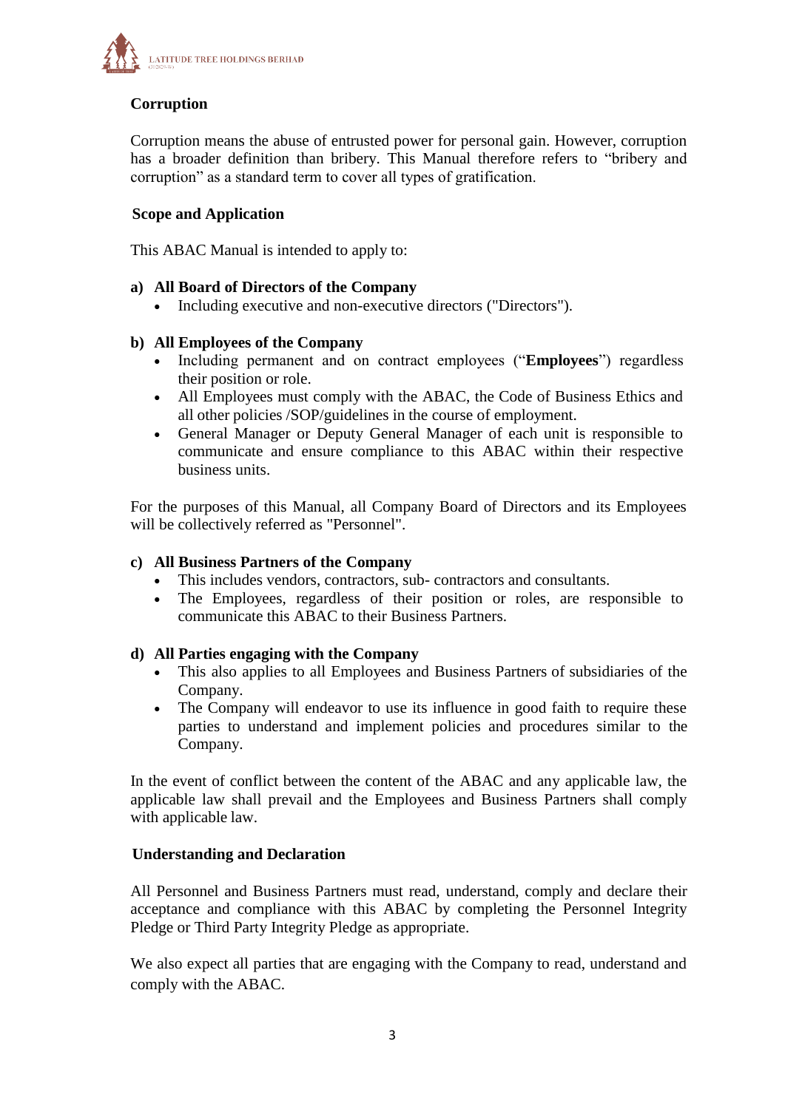

# **Corruption**

Corruption means the abuse of entrusted power for personal gain. However, corruption has a broader definition than bribery. This Manual therefore refers to "bribery and corruption" as a standard term to cover all types of gratification.

# **Scope and Application**

This ABAC Manual is intended to apply to:

# **a) All Board of Directors of the Company**

Including executive and non-executive directors ("Directors").

# **b) All Employees of the Company**

- Including permanent and on contract employees ("**Employees**") regardless their position or role.
- All Employees must comply with the ABAC, the Code of Business Ethics and all other policies /SOP/guidelines in the course of employment.
- General Manager or Deputy General Manager of each unit is responsible to communicate and ensure compliance to this ABAC within their respective business units.

For the purposes of this Manual, all Company Board of Directors and its Employees will be collectively referred as "Personnel".

#### **c) All Business Partners of the Company**

- This includes vendors, contractors, sub- contractors and consultants.
- The Employees, regardless of their position or roles, are responsible to communicate this ABAC to their Business Partners.

#### **d) All Parties engaging with the Company**

- This also applies to all Employees and Business Partners of subsidiaries of the Company.
- The Company will endeavor to use its influence in good faith to require these parties to understand and implement policies and procedures similar to the Company.

In the event of conflict between the content of the ABAC and any applicable law, the applicable law shall prevail and the Employees and Business Partners shall comply with applicable law.

#### **Understanding and Declaration**

All Personnel and Business Partners must read, understand, comply and declare their acceptance and compliance with this ABAC by completing the Personnel Integrity Pledge or Third Party Integrity Pledge as appropriate.

We also expect all parties that are engaging with the Company to read, understand and comply with the ABAC.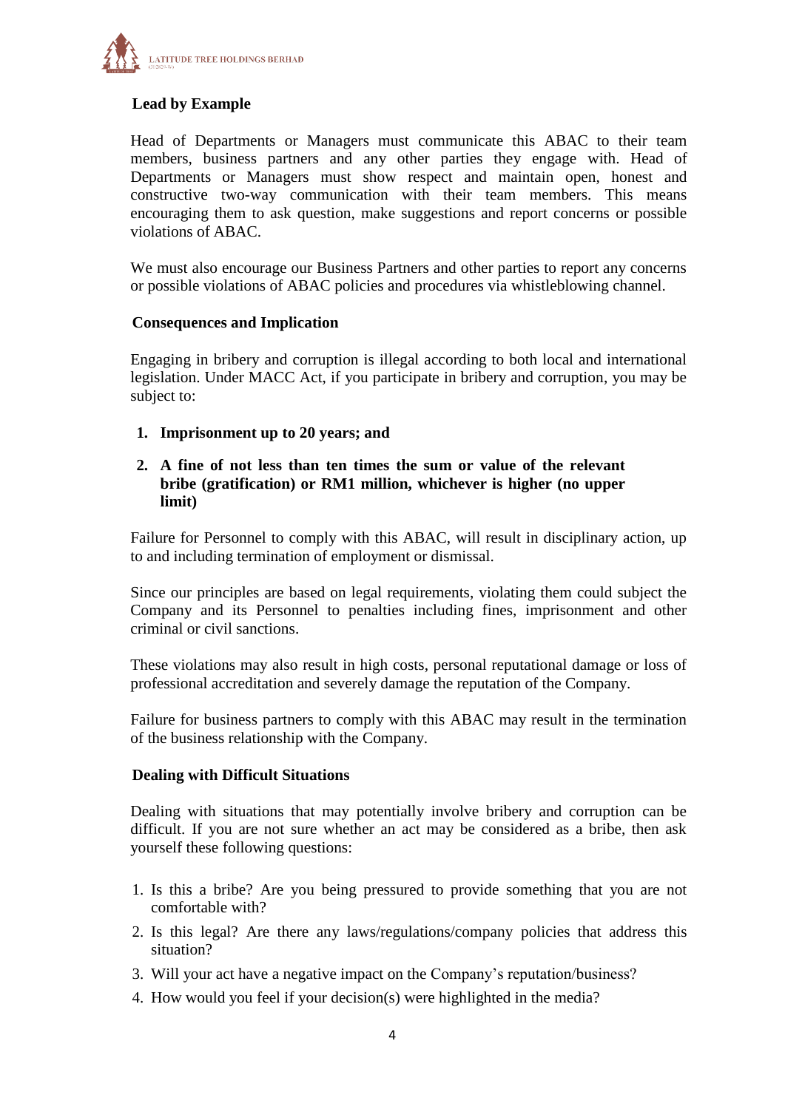

# **Lead by Example**

Head of Departments or Managers must communicate this ABAC to their team members, business partners and any other parties they engage with. Head of Departments or Managers must show respect and maintain open, honest and constructive two-way communication with their team members. This means encouraging them to ask question, make suggestions and report concerns or possible violations of ABAC.

We must also encourage our Business Partners and other parties to report any concerns or possible violations of ABAC policies and procedures via whistleblowing channel.

#### **Consequences and Implication**

Engaging in bribery and corruption is illegal according to both local and international legislation. Under MACC Act, if you participate in bribery and corruption, you may be subject to:

**1. Imprisonment up to 20 years; and**

#### **2. A fine of not less than ten times the sum or value of the relevant bribe (gratification) or RM1 million, whichever is higher (no upper limit)**

Failure for Personnel to comply with this ABAC, will result in disciplinary action, up to and including termination of employment or dismissal.

Since our principles are based on legal requirements, violating them could subject the Company and its Personnel to penalties including fines, imprisonment and other criminal or civil sanctions.

These violations may also result in high costs, personal reputational damage or loss of professional accreditation and severely damage the reputation of the Company.

Failure for business partners to comply with this ABAC may result in the termination of the business relationship with the Company.

#### **Dealing with Difficult Situations**

Dealing with situations that may potentially involve bribery and corruption can be difficult. If you are not sure whether an act may be considered as a bribe, then ask yourself these following questions:

- 1. Is this a bribe? Are you being pressured to provide something that you are not comfortable with?
- 2. Is this legal? Are there any laws/regulations/company policies that address this situation?
- 3. Will your act have a negative impact on the Company's reputation/business?
- 4. How would you feel if your decision(s) were highlighted in the media?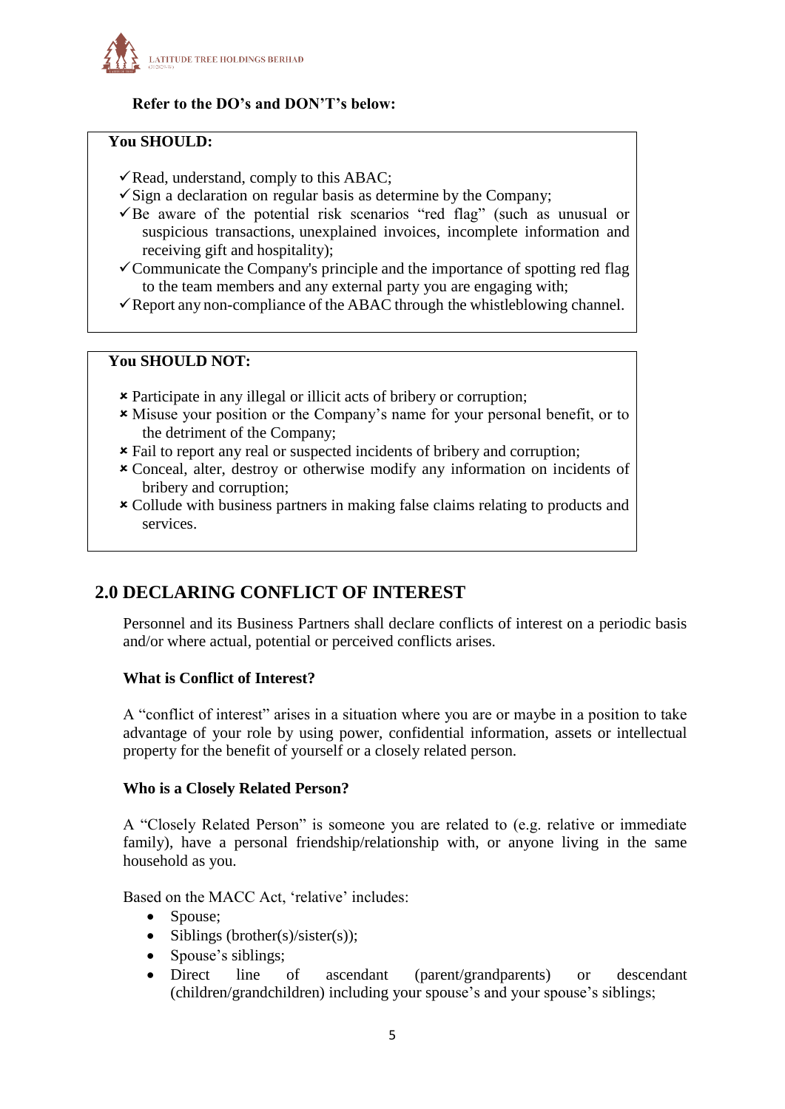

# **Refer to the DO's and DON'T's below:**

#### **You SHOULD:**

- $\checkmark$  Read, understand, comply to this ABAC;
- $\checkmark$  Sign a declaration on regular basis as determine by the Company;
- $\overline{B}$  aware of the potential risk scenarios "red flag" (such as unusual or suspicious transactions, unexplained invoices, incomplete information and receiving gift and hospitality);
- $\checkmark$  Communicate the Company's principle and the importance of spotting red flag to the team members and any external party you are engaging with;
- $\checkmark$  Report any non-compliance of the ABAC through the whistleblowing channel.

# **You SHOULD NOT:**

- Participate in any illegal or illicit acts of bribery or corruption;
- Misuse your position or the Company's name for your personal benefit, or to the detriment of the Company;
- Fail to report any real or suspected incidents of bribery and corruption;
- Conceal, alter, destroy or otherwise modify any information on incidents of bribery and corruption;
- Collude with business partners in making false claims relating to products and services.

# <span id="page-4-0"></span>**2.0 DECLARING CONFLICT OF INTEREST**

Personnel and its Business Partners shall declare conflicts of interest on a periodic basis and/or where actual, potential or perceived conflicts arises.

#### **What is Conflict of Interest?**

A "conflict of interest" arises in a situation where you are or maybe in a position to take advantage of your role by using power, confidential information, assets or intellectual property for the benefit of yourself or a closely related person.

#### **Who is a Closely Related Person?**

A "Closely Related Person" is someone you are related to (e.g. relative or immediate family), have a personal friendship/relationship with, or anyone living in the same household as you.

Based on the MACC Act, 'relative' includes:

- Spouse;
- Siblings (brother(s)/sister(s));
- Spouse's siblings;
- Direct line of ascendant (parent/grandparents) or descendant (children/grandchildren) including your spouse's and your spouse's siblings;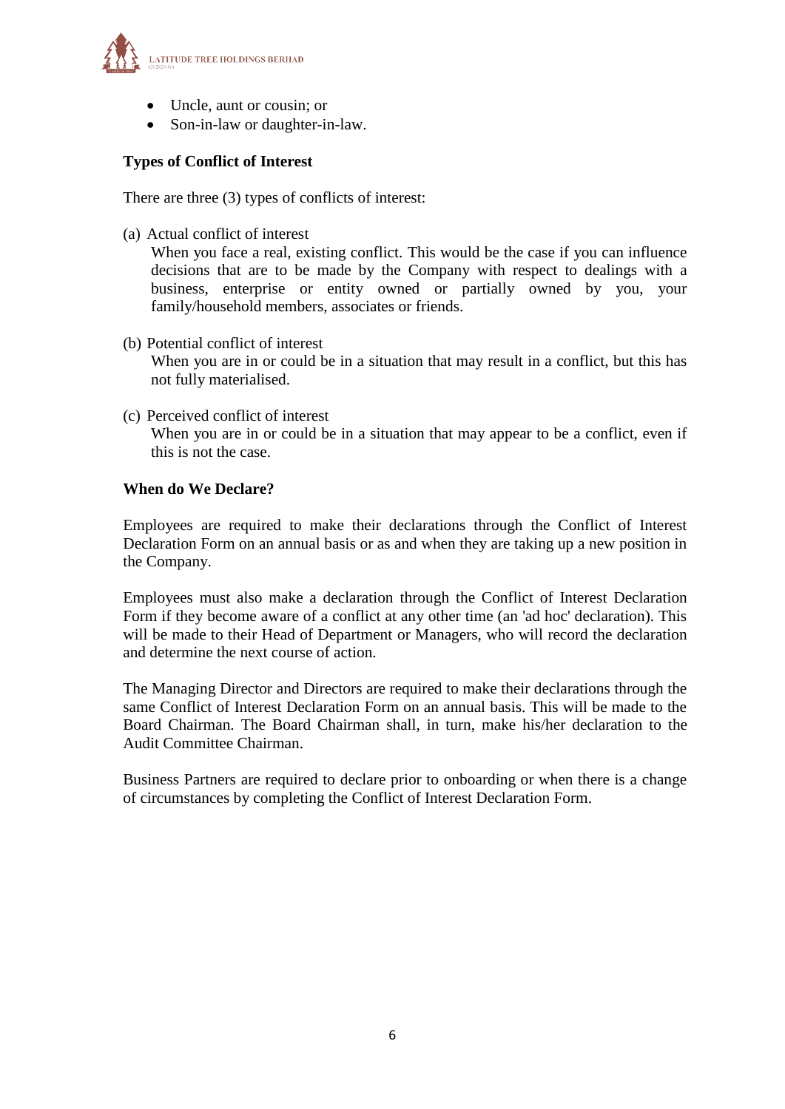

- Uncle, aunt or cousin; or
- Son-in-law or daughter-in-law.

# **Types of Conflict of Interest**

There are three (3) types of conflicts of interest:

(a) Actual conflict of interest

When you face a real, existing conflict. This would be the case if you can influence decisions that are to be made by the Company with respect to dealings with a business, enterprise or entity owned or partially owned by you, your family/household members, associates or friends.

- (b) Potential conflict of interest When you are in or could be in a situation that may result in a conflict, but this has not fully materialised.
- (c) Perceived conflict of interest When you are in or could be in a situation that may appear to be a conflict, even if this is not the case.

# **When do We Declare?**

Employees are required to make their declarations through the Conflict of Interest Declaration Form on an annual basis or as and when they are taking up a new position in the Company.

Employees must also make a declaration through the Conflict of Interest Declaration Form if they become aware of a conflict at any other time (an 'ad hoc' declaration). This will be made to their Head of Department or Managers, who will record the declaration and determine the next course of action.

The Managing Director and Directors are required to make their declarations through the same Conflict of Interest Declaration Form on an annual basis. This will be made to the Board Chairman. The Board Chairman shall, in turn, make his/her declaration to the Audit Committee Chairman.

Business Partners are required to declare prior to onboarding or when there is a change of circumstances by completing the Conflict of Interest Declaration Form.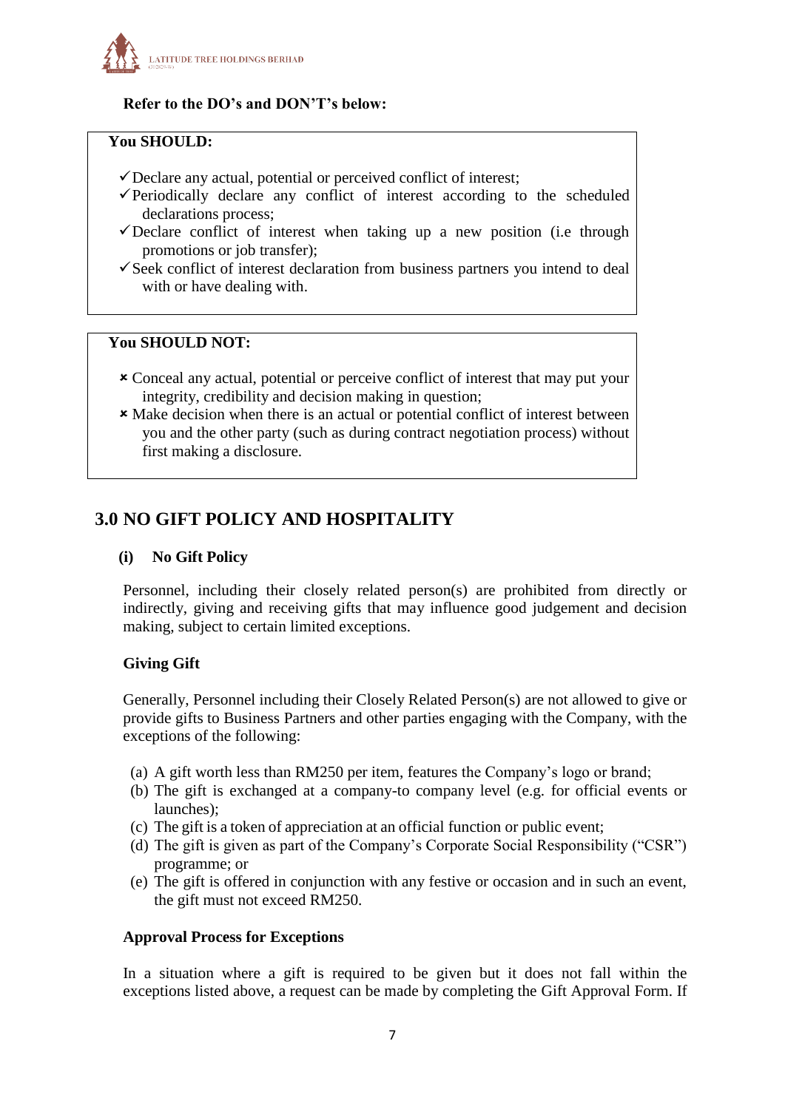

# **Refer to the DO's and DON'T's below:**

#### **You SHOULD:**

- Declare any actual, potential or perceived conflict of interest;
- $\checkmark$  Periodically declare any conflict of interest according to the scheduled declarations process;
- $\checkmark$  Declare conflict of interest when taking up a new position (i.e through promotions or job transfer);
- $\checkmark$  Seek conflict of interest declaration from business partners you intend to deal with or have dealing with.

# **You SHOULD NOT:**

- Conceal any actual, potential or perceive conflict of interest that may put your integrity, credibility and decision making in question;
- Make decision when there is an actual or potential conflict of interest between you and the other party (such as during contract negotiation process) without first making a disclosure.

# <span id="page-6-0"></span>**3.0 NO GIFT POLICY AND HOSPITALITY**

#### **(i) No Gift Policy**

Personnel, including their closely related person(s) are prohibited from directly or indirectly, giving and receiving gifts that may influence good judgement and decision making, subject to certain limited exceptions.

# **Giving Gift**

Generally, Personnel including their Closely Related Person(s) are not allowed to give or provide gifts to Business Partners and other parties engaging with the Company, with the exceptions of the following:

- (a) A gift worth less than RM250 per item, features the Company's logo or brand;
- (b) The gift is exchanged at a company-to company level (e.g. for official events or launches);
- (c) The gift is a token of appreciation at an official function or public event;
- (d) The gift is given as part of the Company's Corporate Social Responsibility ("CSR") programme; or
- (e) The gift is offered in conjunction with any festive or occasion and in such an event, the gift must not exceed RM250.

#### **Approval Process for Exceptions**

In a situation where a gift is required to be given but it does not fall within the exceptions listed above, a request can be made by completing the Gift Approval Form. If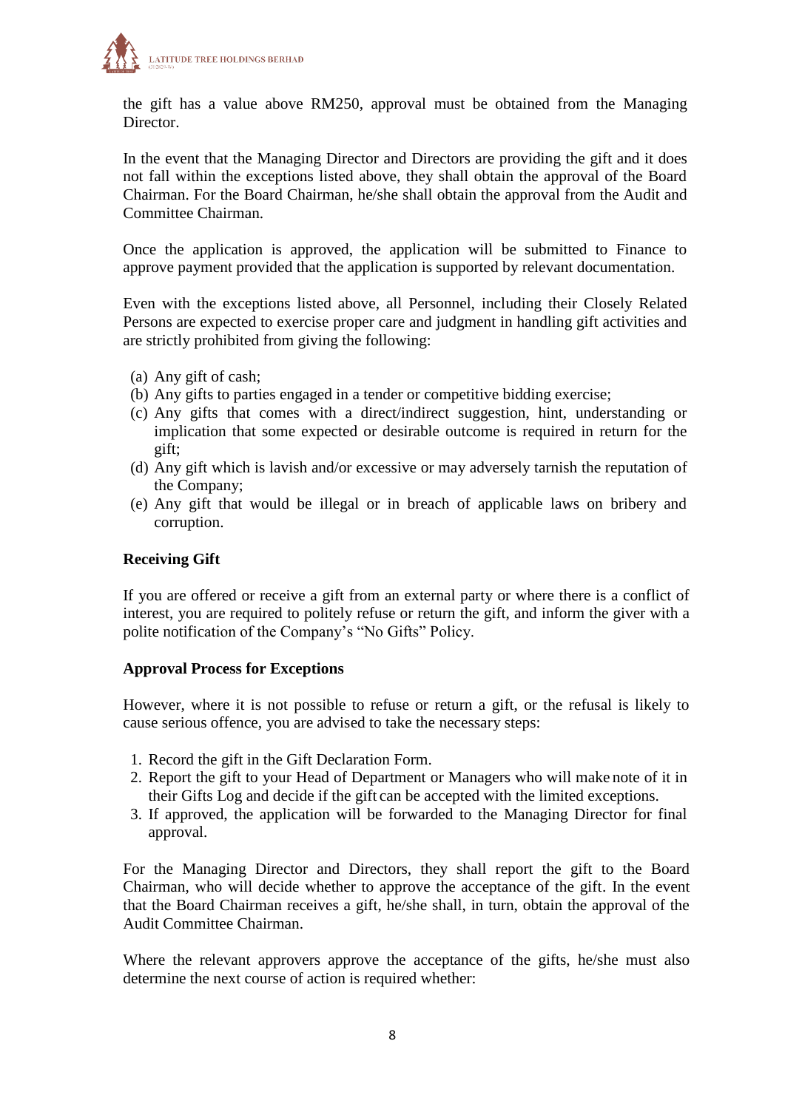

the gift has a value above RM250, approval must be obtained from the Managing Director.

In the event that the Managing Director and Directors are providing the gift and it does not fall within the exceptions listed above, they shall obtain the approval of the Board Chairman. For the Board Chairman, he/she shall obtain the approval from the Audit and Committee Chairman.

Once the application is approved, the application will be submitted to Finance to approve payment provided that the application is supported by relevant documentation.

Even with the exceptions listed above, all Personnel, including their Closely Related Persons are expected to exercise proper care and judgment in handling gift activities and are strictly prohibited from giving the following:

- (a) Any gift of cash;
- (b) Any gifts to parties engaged in a tender or competitive bidding exercise;
- (c) Any gifts that comes with a direct/indirect suggestion, hint, understanding or implication that some expected or desirable outcome is required in return for the gift;
- (d) Any gift which is lavish and/or excessive or may adversely tarnish the reputation of the Company;
- (e) Any gift that would be illegal or in breach of applicable laws on bribery and corruption.

#### **Receiving Gift**

If you are offered or receive a gift from an external party or where there is a conflict of interest, you are required to politely refuse or return the gift, and inform the giver with a polite notification of the Company's "No Gifts" Policy.

#### **Approval Process for Exceptions**

However, where it is not possible to refuse or return a gift, or the refusal is likely to cause serious offence, you are advised to take the necessary steps:

- 1. Record the gift in the Gift Declaration Form.
- 2. Report the gift to your Head of Department or Managers who will make note of it in their Gifts Log and decide if the gift can be accepted with the limited exceptions.
- 3. If approved, the application will be forwarded to the Managing Director for final approval.

For the Managing Director and Directors, they shall report the gift to the Board Chairman, who will decide whether to approve the acceptance of the gift. In the event that the Board Chairman receives a gift, he/she shall, in turn, obtain the approval of the Audit Committee Chairman.

Where the relevant approvers approve the acceptance of the gifts, he/she must also determine the next course of action is required whether: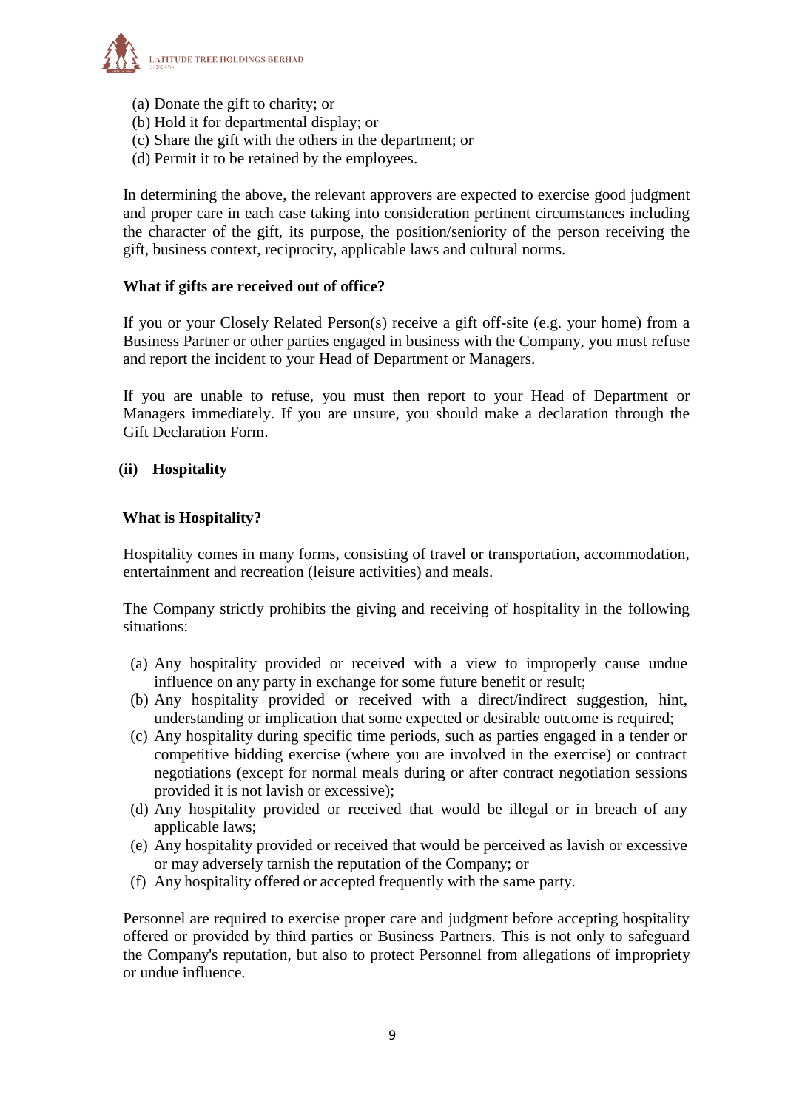

- (a) Donate the gift to charity; or
- (b) Hold it for departmental display; or
- (c) Share the gift with the others in the department; or
- (d) Permit it to be retained by the employees.

In determining the above, the relevant approvers are expected to exercise good judgment and proper care in each case taking into consideration pertinent circumstances including the character of the gift, its purpose, the position/seniority of the person receiving the gift, business context, reciprocity, applicable laws and cultural norms.

#### **What if gifts are received out of office?**

If you or your Closely Related Person(s) receive a gift off-site (e.g. your home) from a Business Partner or other parties engaged in business with the Company, you must refuse and report the incident to your Head of Department or Managers.

If you are unable to refuse, you must then report to your Head of Department or Managers immediately. If you are unsure, you should make a declaration through the Gift Declaration Form.

#### **(ii) Hospitality**

#### **What is Hospitality?**

Hospitality comes in many forms, consisting of travel or transportation, accommodation, entertainment and recreation (leisure activities) and meals.

The Company strictly prohibits the giving and receiving of hospitality in the following situations:

- (a) Any hospitality provided or received with a view to improperly cause undue influence on any party in exchange for some future benefit or result;
- (b) Any hospitality provided or received with a direct/indirect suggestion, hint, understanding or implication that some expected or desirable outcome is required;
- (c) Any hospitality during specific time periods, such as parties engaged in a tender or competitive bidding exercise (where you are involved in the exercise) or contract negotiations (except for normal meals during or after contract negotiation sessions provided it is not lavish or excessive);
- (d) Any hospitality provided or received that would be illegal or in breach of any applicable laws;
- (e) Any hospitality provided or received that would be perceived as lavish or excessive or may adversely tarnish the reputation of the Company; or
- (f) Any hospitality offered or accepted frequently with the same party.

Personnel are required to exercise proper care and judgment before accepting hospitality offered or provided by third parties or Business Partners. This is not only to safeguard the Company's reputation, but also to protect Personnel from allegations of impropriety or undue influence.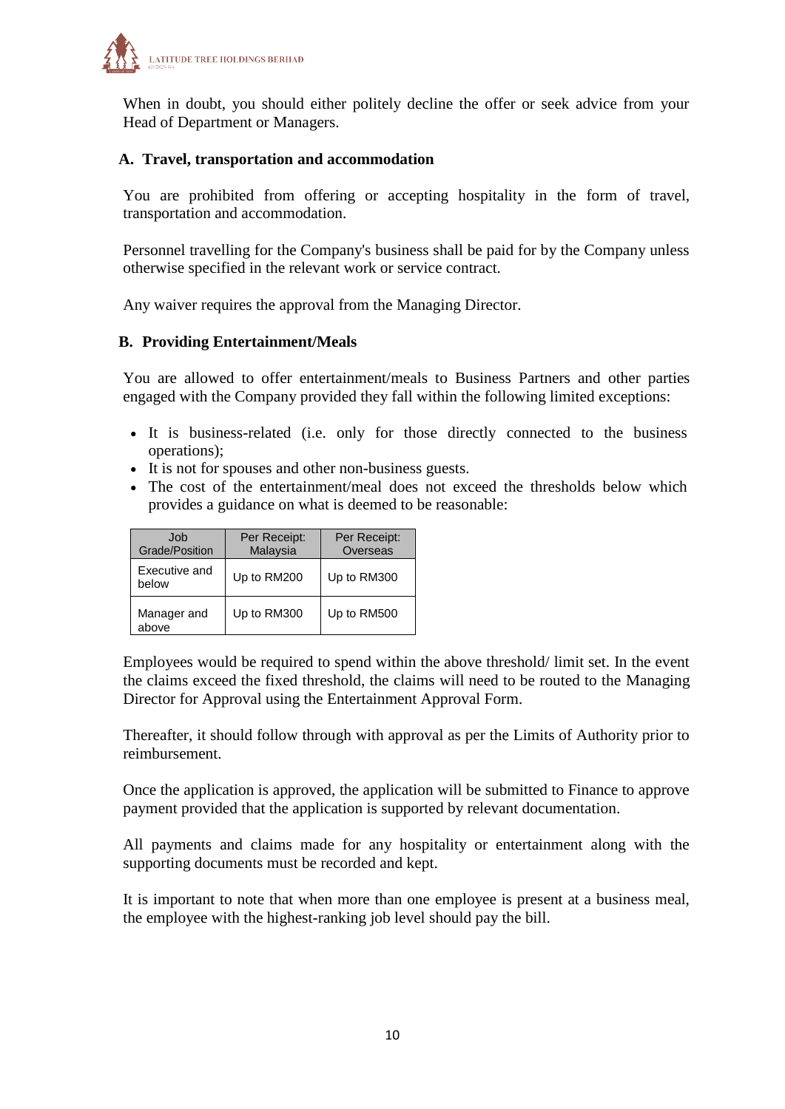

When in doubt, you should either politely decline the offer or seek advice from your Head of Department or Managers.

#### **A. Travel, transportation and accommodation**

You are prohibited from offering or accepting hospitality in the form of travel, transportation and accommodation.

Personnel travelling for the Company's business shall be paid for by the Company unless otherwise specified in the relevant work or service contract.

Any waiver requires the approval from the Managing Director.

#### **B. Providing Entertainment/Meals**

You are allowed to offer entertainment/meals to Business Partners and other parties engaged with the Company provided they fall within the following limited exceptions:

- It is business-related (i.e. only for those directly connected to the business operations);
- It is not for spouses and other non-business guests.
- The cost of the entertainment/meal does not exceed the thresholds below which provides a guidance on what is deemed to be reasonable:

| .Job<br>Grade/Position | Per Receipt:<br>Malaysia | Per Receipt:<br>Overseas |
|------------------------|--------------------------|--------------------------|
| Executive and<br>below | Up to RM200              | Up to RM300              |
| Manager and<br>above   | Up to RM300              | Up to RM500              |

Employees would be required to spend within the above threshold/ limit set. In the event the claims exceed the fixed threshold, the claims will need to be routed to the Managing Director for Approval using the Entertainment Approval Form.

Thereafter, it should follow through with approval as per the Limits of Authority prior to reimbursement.

Once the application is approved, the application will be submitted to Finance to approve payment provided that the application is supported by relevant documentation.

All payments and claims made for any hospitality or entertainment along with the supporting documents must be recorded and kept.

It is important to note that when more than one employee is present at a business meal, the employee with the highest-ranking job level should pay the bill.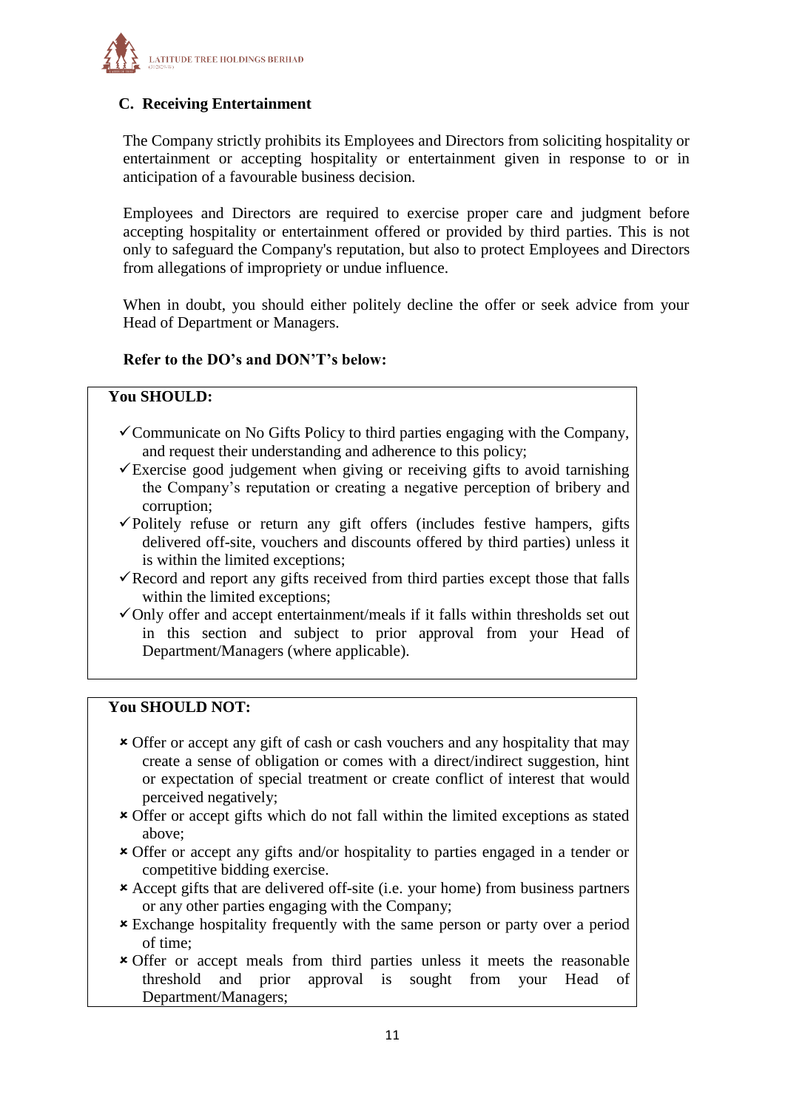

# **C. Receiving Entertainment**

The Company strictly prohibits its Employees and Directors from soliciting hospitality or entertainment or accepting hospitality or entertainment given in response to or in anticipation of a favourable business decision.

Employees and Directors are required to exercise proper care and judgment before accepting hospitality or entertainment offered or provided by third parties. This is not only to safeguard the Company's reputation, but also to protect Employees and Directors from allegations of impropriety or undue influence.

When in doubt, you should either politely decline the offer or seek advice from your Head of Department or Managers.

# **Refer to the DO's and DON'T's below:**

# **You SHOULD:**

- $\checkmark$  Communicate on No Gifts Policy to third parties engaging with the Company, and request their understanding and adherence to this policy;
- $\checkmark$ Exercise good judgement when giving or receiving gifts to avoid tarnishing the Company's reputation or creating a negative perception of bribery and corruption;
- Politely refuse or return any gift offers (includes festive hampers, gifts delivered off-site, vouchers and discounts offered by third parties) unless it is within the limited exceptions;
- $\checkmark$  Record and report any gifts received from third parties except those that falls within the limited exceptions;
- $\checkmark$  Only offer and accept entertainment/meals if it falls within thresholds set out in this section and subject to prior approval from your Head of Department/Managers (where applicable).

#### **You SHOULD NOT:**

- Offer or accept any gift of cash or cash vouchers and any hospitality that may create a sense of obligation or comes with a direct/indirect suggestion, hint or expectation of special treatment or create conflict of interest that would perceived negatively;
- Offer or accept gifts which do not fall within the limited exceptions as stated above;
- Offer or accept any gifts and/or hospitality to parties engaged in a tender or competitive bidding exercise.
- Accept gifts that are delivered off-site (i.e. your home) from business partners or any other parties engaging with the Company;
- **\*** Exchange hospitality frequently with the same person or party over a period of time;
- Offer or accept meals from third parties unless it meets the reasonable threshold and prior approval is sought from your Head of Department/Managers;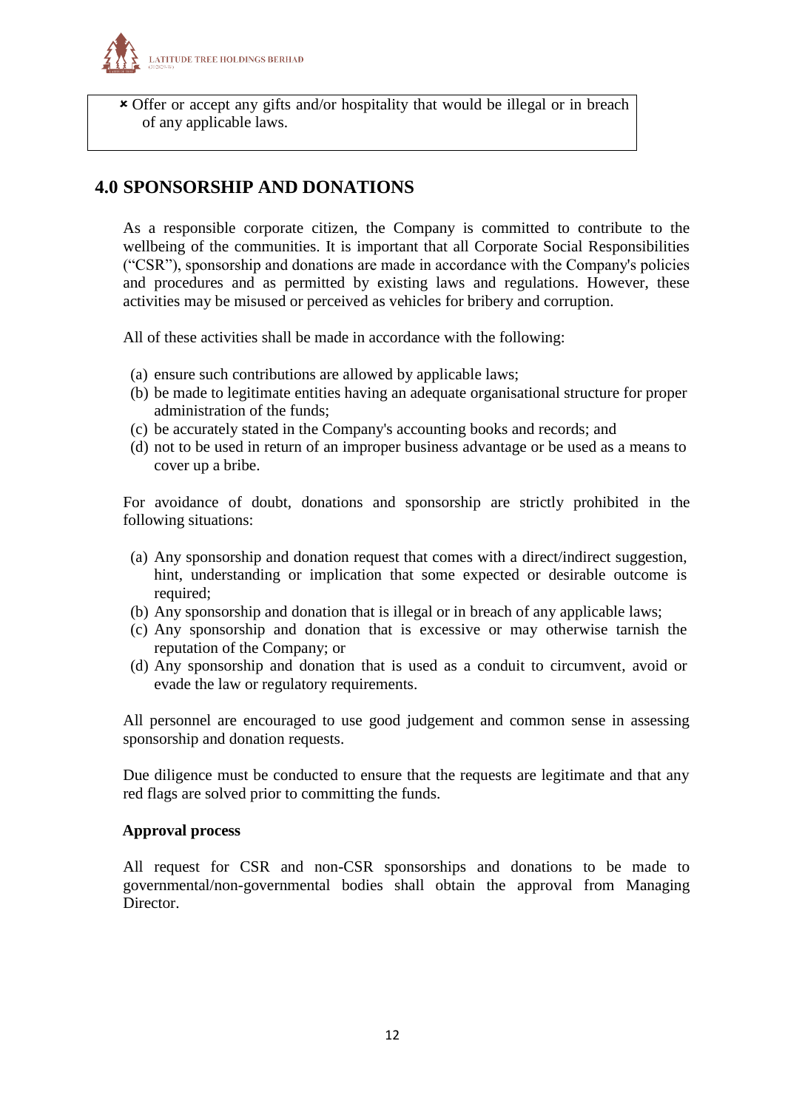

 Offer or accept any gifts and/or hospitality that would be illegal or in breach of any applicable laws.

# <span id="page-11-0"></span>**4.0 SPONSORSHIP AND DONATIONS**

As a responsible corporate citizen, the Company is committed to contribute to the wellbeing of the communities. It is important that all Corporate Social Responsibilities ("CSR"), sponsorship and donations are made in accordance with the Company's policies and procedures and as permitted by existing laws and regulations. However, these activities may be misused or perceived as vehicles for bribery and corruption.

All of these activities shall be made in accordance with the following:

- (a) ensure such contributions are allowed by applicable laws;
- (b) be made to legitimate entities having an adequate organisational structure for proper administration of the funds;
- (c) be accurately stated in the Company's accounting books and records; and
- (d) not to be used in return of an improper business advantage or be used as a means to cover up a bribe.

For avoidance of doubt, donations and sponsorship are strictly prohibited in the following situations:

- (a) Any sponsorship and donation request that comes with a direct/indirect suggestion, hint, understanding or implication that some expected or desirable outcome is required;
- (b) Any sponsorship and donation that is illegal or in breach of any applicable laws;
- (c) Any sponsorship and donation that is excessive or may otherwise tarnish the reputation of the Company; or
- (d) Any sponsorship and donation that is used as a conduit to circumvent, avoid or evade the law or regulatory requirements.

All personnel are encouraged to use good judgement and common sense in assessing sponsorship and donation requests.

Due diligence must be conducted to ensure that the requests are legitimate and that any red flags are solved prior to committing the funds.

# **Approval process**

All request for CSR and non-CSR sponsorships and donations to be made to governmental/non-governmental bodies shall obtain the approval from Managing **Director**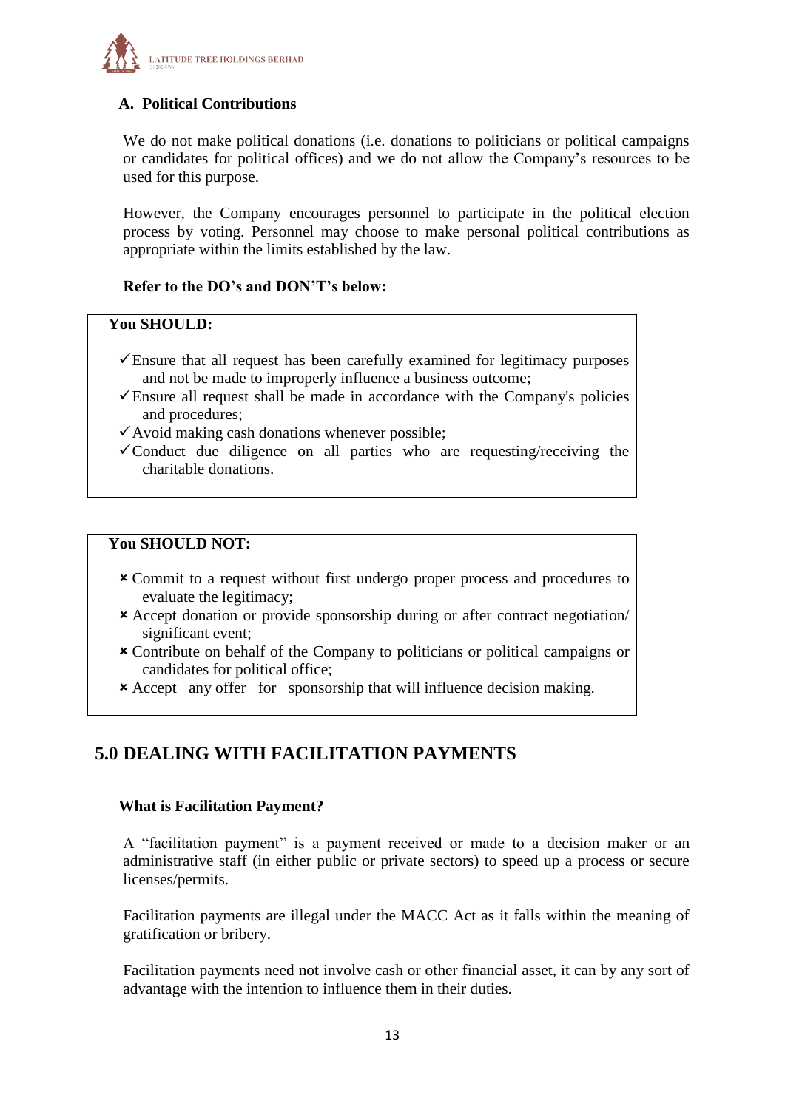

# **A. Political Contributions**

We do not make political donations (i.e. donations to politicians or political campaigns or candidates for political offices) and we do not allow the Company's resources to be used for this purpose.

However, the Company encourages personnel to participate in the political election process by voting. Personnel may choose to make personal political contributions as appropriate within the limits established by the law.

# **Refer to the DO's and DON'T's below:**

#### **You SHOULD:**

- $\checkmark$  Ensure that all request has been carefully examined for legitimacy purposes and not be made to improperly influence a business outcome;
- $\checkmark$  Ensure all request shall be made in accordance with the Company's policies and procedures;
- $\checkmark$  Avoid making cash donations whenever possible;
- $\checkmark$  Conduct due diligence on all parties who are requesting/receiving the charitable donations.

#### **You SHOULD NOT:**

- Commit to a request without first undergo proper process and procedures to evaluate the legitimacy;
- Accept donation or provide sponsorship during or after contract negotiation/ significant event;
- Contribute on behalf of the Company to politicians or political campaigns or candidates for political office;
- Accept any offer for sponsorship that will influence decision making.

# <span id="page-12-0"></span>**5.0 DEALING WITH FACILITATION PAYMENTS**

#### **What is Facilitation Payment?**

A "facilitation payment" is a payment received or made to a decision maker or an administrative staff (in either public or private sectors) to speed up a process or secure licenses/permits.

Facilitation payments are illegal under the MACC Act as it falls within the meaning of gratification or bribery.

Facilitation payments need not involve cash or other financial asset, it can by any sort of advantage with the intention to influence them in their duties.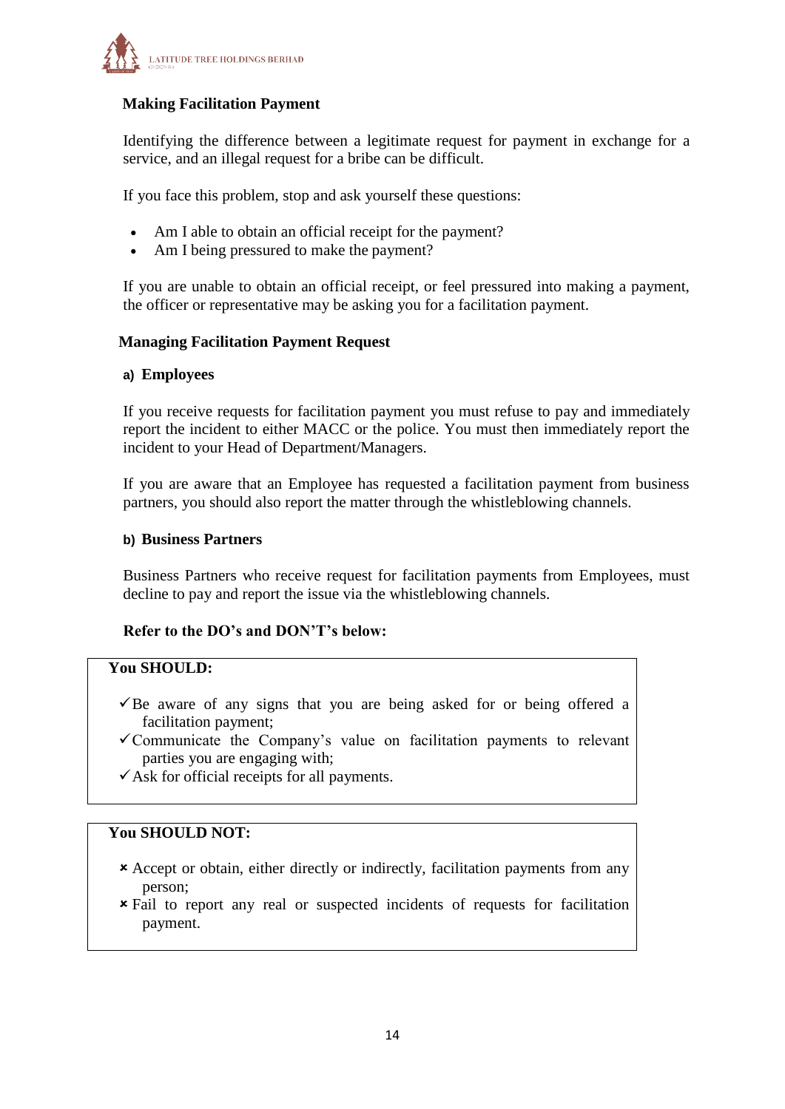

# **Making Facilitation Payment**

Identifying the difference between a legitimate request for payment in exchange for a service, and an illegal request for a bribe can be difficult.

If you face this problem, stop and ask yourself these questions:

- Am I able to obtain an official receipt for the payment?
- Am I being pressured to make the payment?

If you are unable to obtain an official receipt, or feel pressured into making a payment, the officer or representative may be asking you for a facilitation payment.

#### **Managing Facilitation Payment Request**

#### **a) Employees**

If you receive requests for facilitation payment you must refuse to pay and immediately report the incident to either MACC or the police. You must then immediately report the incident to your Head of Department/Managers.

If you are aware that an Employee has requested a facilitation payment from business partners, you should also report the matter through the whistleblowing channels.

#### **b) Business Partners**

Business Partners who receive request for facilitation payments from Employees, must decline to pay and report the issue via the whistleblowing channels.

# **Refer to the DO's and DON'T's below:**

#### **You SHOULD:**

- $\checkmark$ Be aware of any signs that you are being asked for or being offered a facilitation payment;
- $\checkmark$  Communicate the Company's value on facilitation payments to relevant parties you are engaging with;
- $\checkmark$  Ask for official receipts for all payments.

#### **You SHOULD NOT:**

- Accept or obtain, either directly or indirectly, facilitation payments from any person;
- Fail to report any real or suspected incidents of requests for facilitation payment.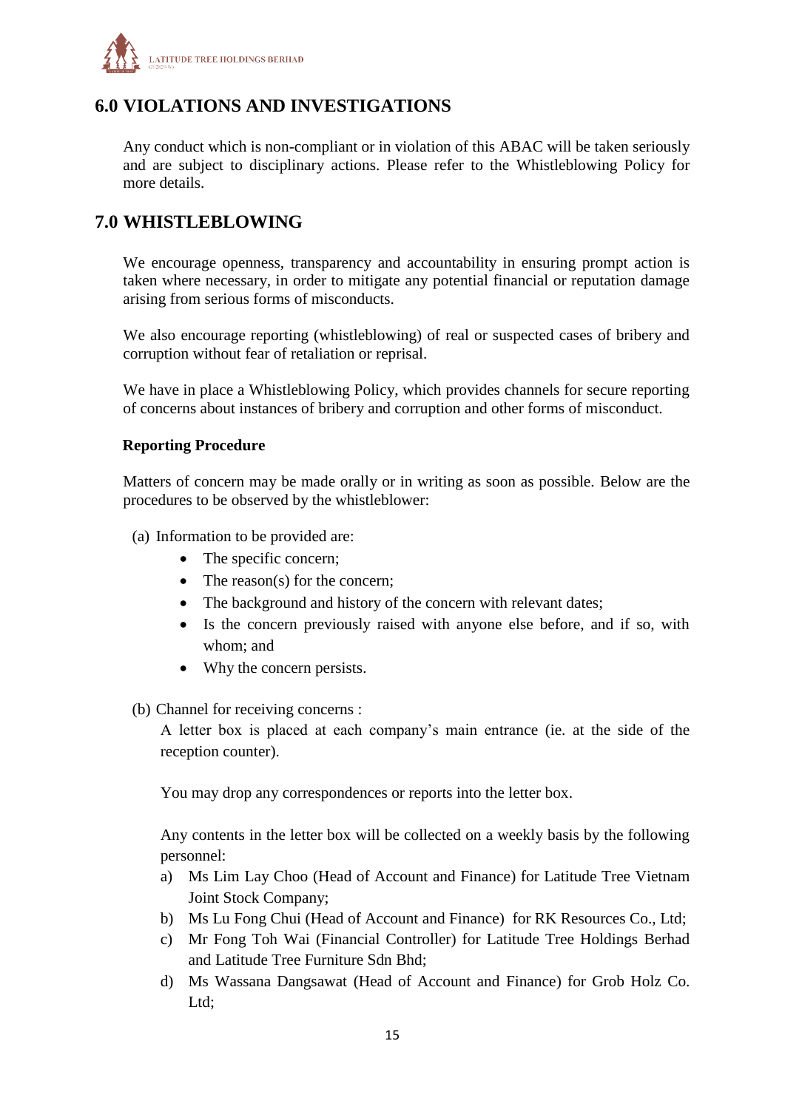

# <span id="page-14-0"></span>**6.0 VIOLATIONS AND INVESTIGATIONS**

Any conduct which is non-compliant or in violation of this ABAC will be taken seriously and are subject to disciplinary actions. Please refer to the Whistleblowing Policy for more details.

# <span id="page-14-1"></span>**7.0 WHISTLEBLOWING**

We encourage openness, transparency and accountability in ensuring prompt action is taken where necessary, in order to mitigate any potential financial or reputation damage arising from serious forms of misconducts.

We also encourage reporting (whistleblowing) of real or suspected cases of bribery and corruption without fear of retaliation or reprisal.

We have in place a Whistleblowing Policy, which provides channels for secure reporting of concerns about instances of bribery and corruption and other forms of misconduct.

#### **Reporting Procedure**

Matters of concern may be made orally or in writing as soon as possible. Below are the procedures to be observed by the whistleblower:

- (a) Information to be provided are:
	- The specific concern;
	- The reason(s) for the concern;
	- The background and history of the concern with relevant dates;
	- Is the concern previously raised with anyone else before, and if so, with whom; and
	- Why the concern persists.
- (b) Channel for receiving concerns :

A letter box is placed at each company's main entrance (ie. at the side of the reception counter).

You may drop any correspondences or reports into the letter box.

Any contents in the letter box will be collected on a weekly basis by the following personnel:

- a) Ms Lim Lay Choo (Head of Account and Finance) for Latitude Tree Vietnam Joint Stock Company;
- b) Ms Lu Fong Chui (Head of Account and Finance) for RK Resources Co., Ltd;
- c) Mr Fong Toh Wai (Financial Controller) for Latitude Tree Holdings Berhad and Latitude Tree Furniture Sdn Bhd;
- d) Ms Wassana Dangsawat (Head of Account and Finance) for Grob Holz Co. Ltd;